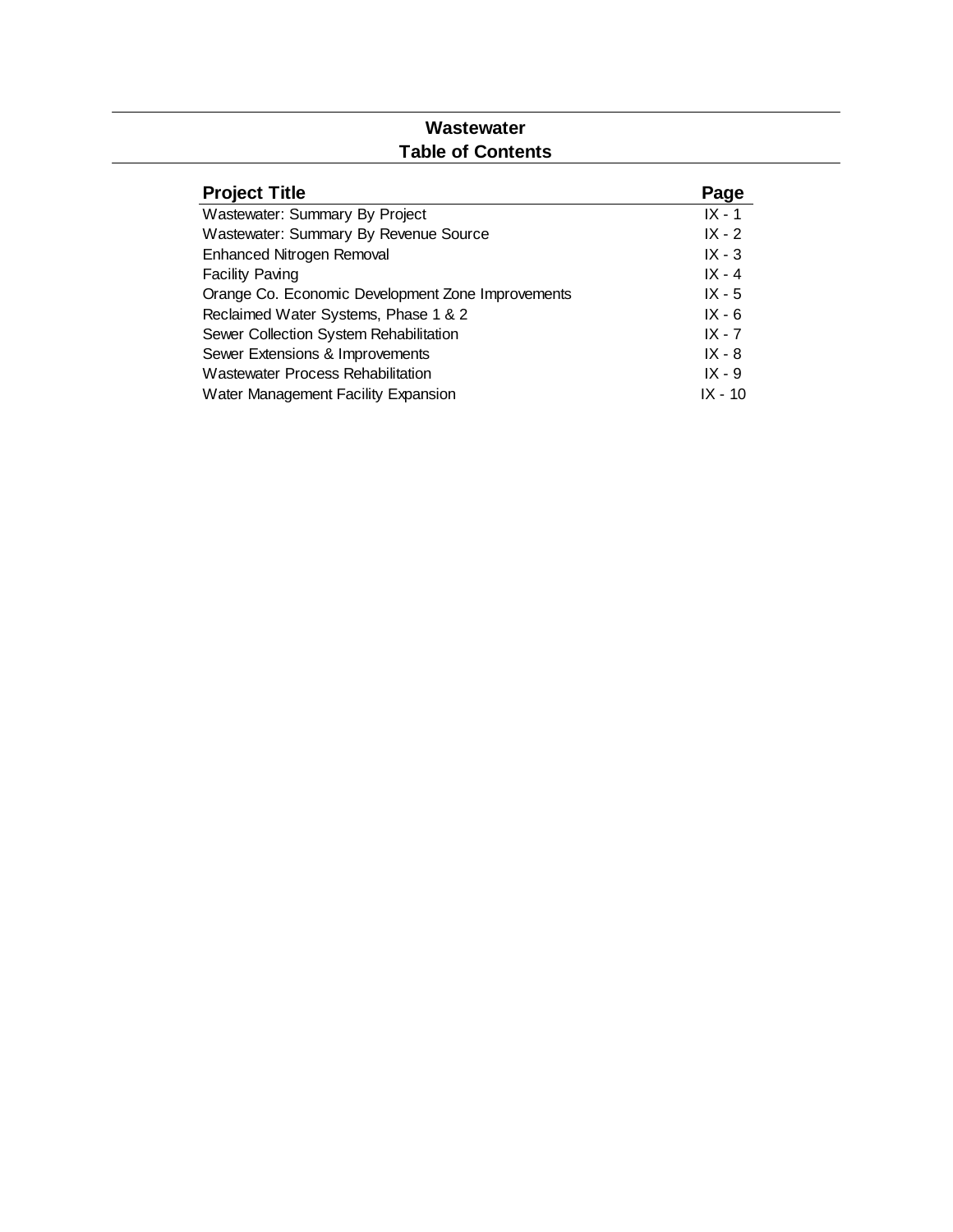### **Wastewater Table of Contents**

| <b>Project Title</b>                              | Page     |
|---------------------------------------------------|----------|
| Wastewater: Summary By Project                    | $IX - 1$ |
| Wastewater: Summary By Revenue Source             | $IX - 2$ |
| <b>Enhanced Nitrogen Removal</b>                  | $IX - 3$ |
| <b>Facility Paving</b>                            | $IX - 4$ |
| Orange Co. Economic Development Zone Improvements | $IX - 5$ |
| Reclaimed Water Systems, Phase 1 & 2              | $IX - 6$ |
| Sewer Collection System Rehabilitation            | $IX - 7$ |
| Sewer Extensions & Improvements                   | $IX - 8$ |
| <b>Wastewater Process Rehabilitation</b>          | $IX - 9$ |
| Water Management Facility Expansion               | IX - 10  |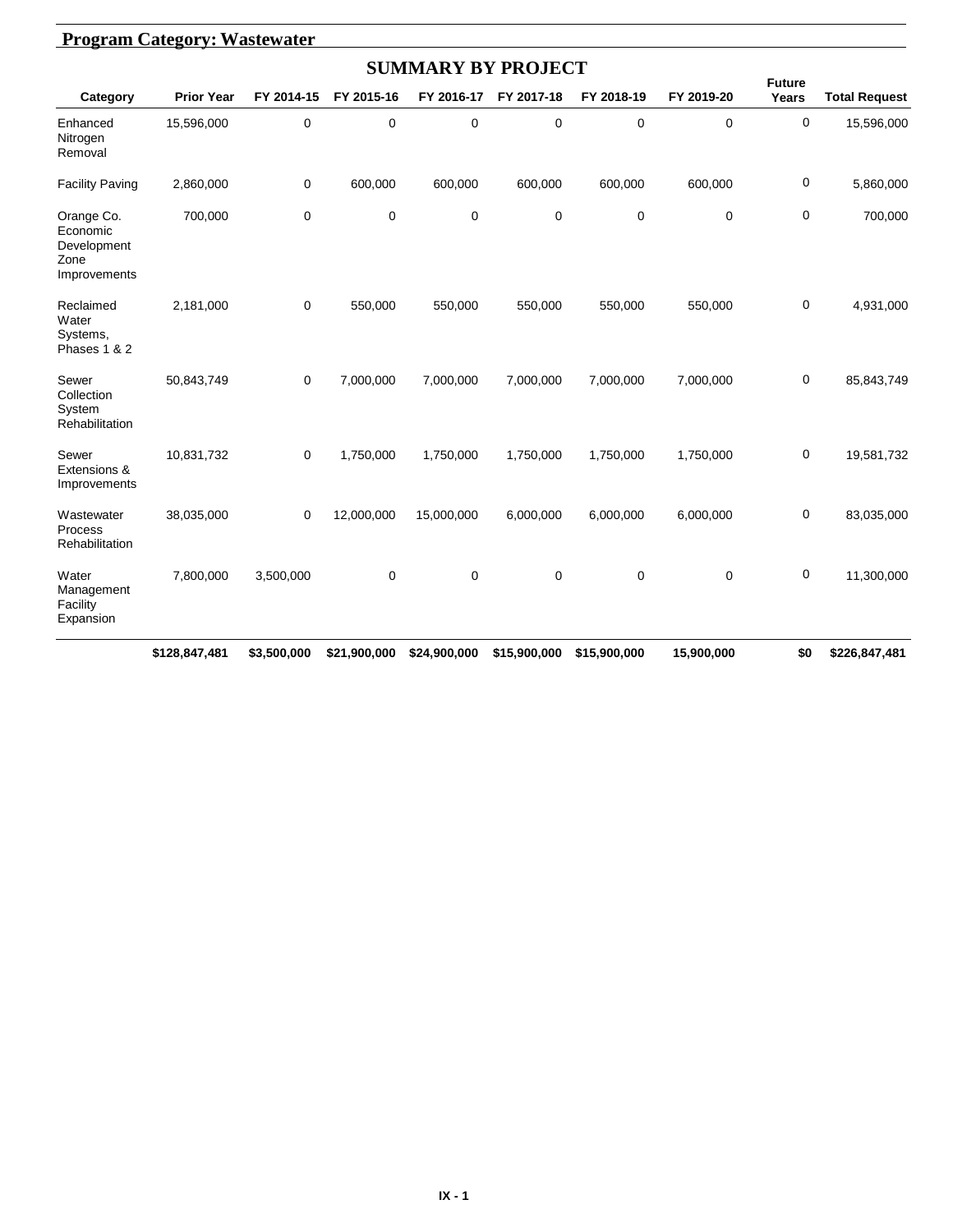|                                                               |                   |            |             | <b>SUMMARY BY PROJECT</b> |             |             |             |                        |                      |
|---------------------------------------------------------------|-------------------|------------|-------------|---------------------------|-------------|-------------|-------------|------------------------|----------------------|
| Category                                                      | <b>Prior Year</b> | FY 2014-15 | FY 2015-16  | FY 2016-17                | FY 2017-18  | FY 2018-19  | FY 2019-20  | <b>Future</b><br>Years | <b>Total Request</b> |
| Enhanced<br>Nitrogen<br>Removal                               | 15,596,000        | 0          | $\mathbf 0$ | $\mathbf 0$               | $\mathbf 0$ | $\mathbf 0$ | 0           | $\mathbf 0$            | 15,596,000           |
| <b>Facility Paving</b>                                        | 2,860,000         | 0          | 600,000     | 600,000                   | 600,000     | 600,000     | 600,000     | 0                      | 5,860,000            |
| Orange Co.<br>Economic<br>Development<br>Zone<br>Improvements | 700,000           | 0          | $\mathbf 0$ | $\mathbf 0$               | 0           | $\mathbf 0$ | 0           | $\mathbf 0$            | 700,000              |
| Reclaimed<br>Water<br>Systems,<br>Phases 1 & 2                | 2,181,000         | 0          | 550,000     | 550,000                   | 550,000     | 550,000     | 550,000     | 0                      | 4,931,000            |
| Sewer<br>Collection<br>System<br>Rehabilitation               | 50,843,749        | 0          | 7,000,000   | 7,000,000                 | 7,000,000   | 7,000,000   | 7,000,000   | 0                      | 85,843,749           |
| Sewer<br>Extensions &<br>Improvements                         | 10,831,732        | 0          | 1,750,000   | 1,750,000                 | 1,750,000   | 1,750,000   | 1,750,000   | 0                      | 19,581,732           |
| Wastewater<br>Process<br>Rehabilitation                       | 38,035,000        | 0          | 12,000,000  | 15,000,000                | 6,000,000   | 6,000,000   | 6,000,000   | $\mathbf 0$            | 83,035,000           |
| Water<br>Management<br>Facility<br>Expansion                  | 7,800,000         | 3,500,000  | $\mathbf 0$ | $\mathbf 0$               | $\mathbf 0$ | $\mathbf 0$ | $\mathbf 0$ | $\mathbf 0$            | 11,300,000           |

**\$128,847,481 \$3,500,000 \$21,900,000 \$24,900,000 \$15,900,000 \$15,900,000 \$15,900,000 \$0 \$226,847,481**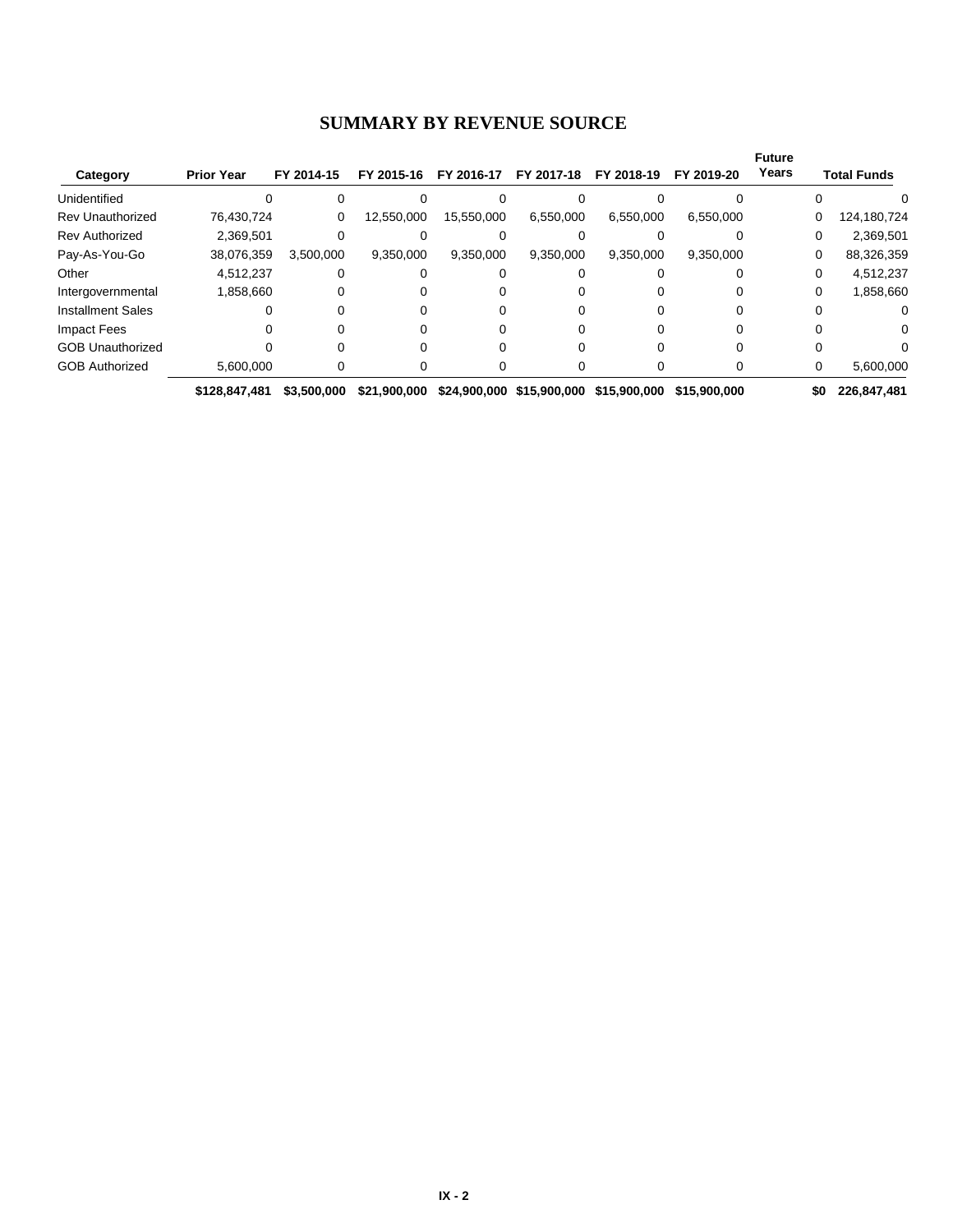### **SUMMARY BY REVENUE SOURCE**

| Category                 | <b>Prior Year</b> | FY 2014-15  | FY 2015-16   | FY 2016-17 | FY 2017-18                | FY 2018-19   | FY 2019-20   | <b>Future</b><br>Years |     | <b>Total Funds</b> |
|--------------------------|-------------------|-------------|--------------|------------|---------------------------|--------------|--------------|------------------------|-----|--------------------|
| Unidentified             |                   |             |              |            |                           |              |              |                        |     |                    |
| <b>Rev Unauthorized</b>  | 76,430,724        | 0           | 12,550,000   | 15,550,000 | 6,550,000                 | 6,550,000    | 6,550,000    |                        | 0   | 124,180,724        |
| <b>Rev Authorized</b>    | 2,369,501         |             |              |            |                           |              |              |                        | 0   | 2,369,501          |
| Pay-As-You-Go            | 38,076,359        | 3,500,000   | 9,350,000    | 9,350,000  | 9,350,000                 | 9,350,000    | 9,350,000    |                        | 0   | 88,326,359         |
| Other                    | 4,512,237         |             |              |            |                           |              |              |                        | 0   | 4,512,237          |
| Intergovernmental        | 1,858,660         |             |              |            |                           |              |              |                        | 0   | 1,858,660          |
| <b>Installment Sales</b> |                   |             |              |            |                           |              |              |                        |     |                    |
| <b>Impact Fees</b>       |                   |             |              |            |                           |              |              |                        |     | $\Omega$           |
| <b>GOB Unauthorized</b>  |                   |             |              |            |                           |              |              |                        |     |                    |
| <b>GOB Authorized</b>    | 5,600,000         |             |              |            |                           |              |              |                        | 0   | 5,600,000          |
|                          | \$128,847,481     | \$3,500,000 | \$21.900.000 |            | \$24,900,000 \$15,900,000 | \$15,900,000 | \$15,900,000 |                        | \$0 | 226,847,481        |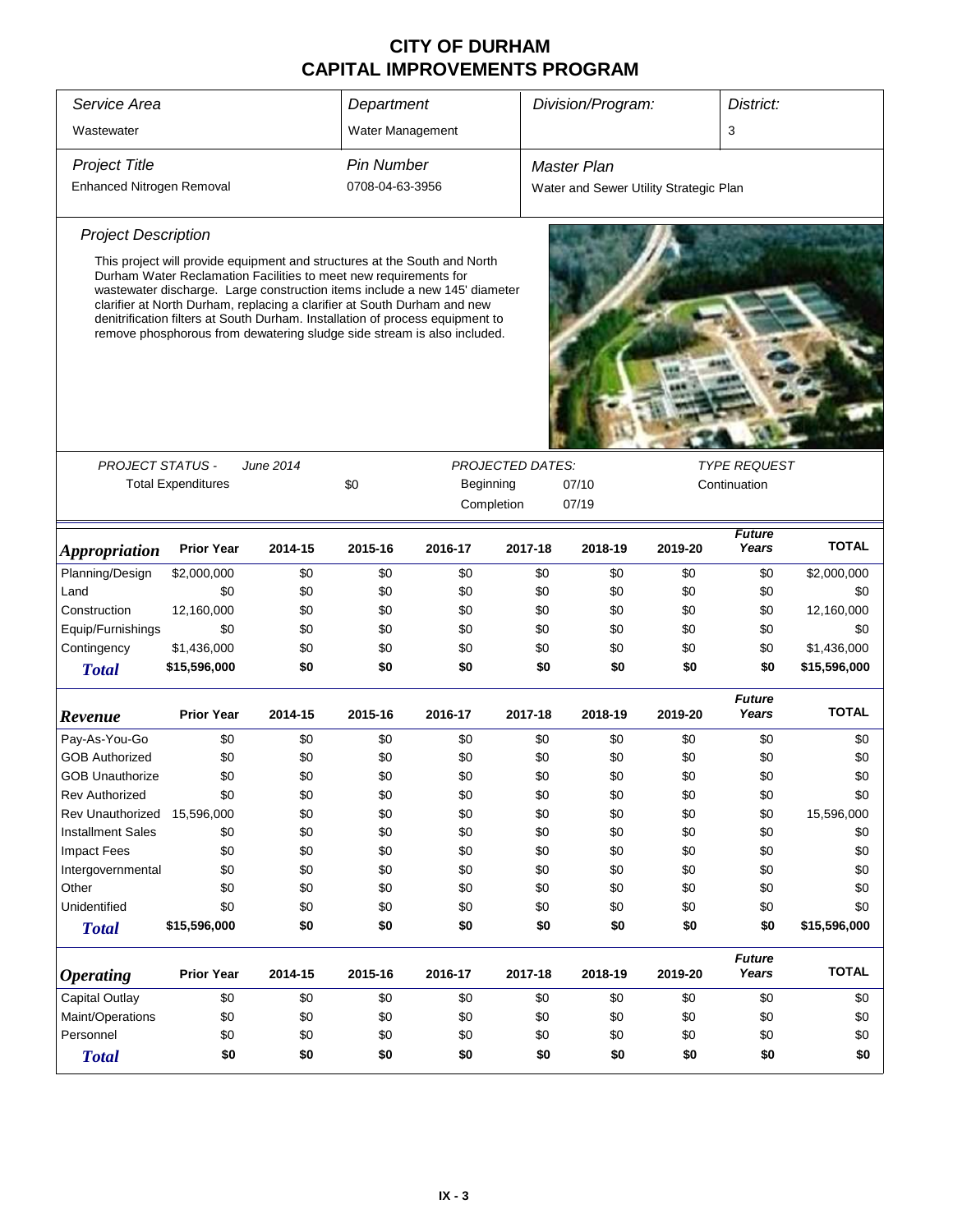| Service Area<br>Wastewater |                                                                                                                                                                                                                                                                                                                                                                                                                                                                     |           | Department        |           |                         | Division/Program:                      |         | District:                           |              |
|----------------------------|---------------------------------------------------------------------------------------------------------------------------------------------------------------------------------------------------------------------------------------------------------------------------------------------------------------------------------------------------------------------------------------------------------------------------------------------------------------------|-----------|-------------------|-----------|-------------------------|----------------------------------------|---------|-------------------------------------|--------------|
|                            |                                                                                                                                                                                                                                                                                                                                                                                                                                                                     |           | Water Management  |           |                         |                                        |         | 3                                   |              |
| <b>Project Title</b>       |                                                                                                                                                                                                                                                                                                                                                                                                                                                                     |           | <b>Pin Number</b> |           |                         | <b>Master Plan</b>                     |         |                                     |              |
| Enhanced Nitrogen Removal  |                                                                                                                                                                                                                                                                                                                                                                                                                                                                     |           | 0708-04-63-3956   |           |                         | Water and Sewer Utility Strategic Plan |         |                                     |              |
| <b>Project Description</b> |                                                                                                                                                                                                                                                                                                                                                                                                                                                                     |           |                   |           |                         |                                        |         |                                     |              |
|                            | This project will provide equipment and structures at the South and North<br>Durham Water Reclamation Facilities to meet new requirements for<br>wastewater discharge. Large construction items include a new 145' diameter<br>clarifier at North Durham, replacing a clarifier at South Durham and new<br>denitrification filters at South Durham. Installation of process equipment to<br>remove phosphorous from dewatering sludge side stream is also included. |           |                   |           |                         |                                        |         |                                     |              |
|                            |                                                                                                                                                                                                                                                                                                                                                                                                                                                                     |           |                   |           | <b>PROJECTED DATES:</b> |                                        |         |                                     |              |
| PROJECT STATUS -           | <b>Total Expenditures</b>                                                                                                                                                                                                                                                                                                                                                                                                                                           | June 2014 | \$0               | Beginning |                         | 07/10                                  |         | <b>TYPE REQUEST</b><br>Continuation |              |
|                            |                                                                                                                                                                                                                                                                                                                                                                                                                                                                     |           |                   |           | Completion<br>07/19     |                                        |         |                                     |              |
|                            |                                                                                                                                                                                                                                                                                                                                                                                                                                                                     |           |                   |           |                         |                                        |         | <b>Future</b>                       |              |
| <b>Appropriation</b>       | <b>Prior Year</b>                                                                                                                                                                                                                                                                                                                                                                                                                                                   | 2014-15   | 2015-16           | 2016-17   | 2017-18                 | 2018-19                                | 2019-20 | Years                               | <b>TOTAL</b> |
| Planning/Design            | \$2,000,000                                                                                                                                                                                                                                                                                                                                                                                                                                                         | \$0       | \$0               | \$0       | \$0                     | \$0                                    | \$0     | \$0                                 | \$2,000,000  |
| Land                       | \$0                                                                                                                                                                                                                                                                                                                                                                                                                                                                 | \$0       | \$0               | \$0       | \$0                     | \$0                                    | \$0     | \$0                                 | \$0          |
| Construction               | 12,160,000                                                                                                                                                                                                                                                                                                                                                                                                                                                          | \$0       | \$0               | \$0       | \$0                     | \$0                                    | \$0     | \$0                                 | 12,160,000   |
| Equip/Furnishings          | \$0                                                                                                                                                                                                                                                                                                                                                                                                                                                                 | \$0       | \$0               | \$0       | \$0                     | \$0                                    | \$0     | \$0                                 | \$0          |
| Contingency                | \$1,436,000                                                                                                                                                                                                                                                                                                                                                                                                                                                         | \$0       | \$0               | \$0       | \$0                     | \$0                                    | \$0     | \$0                                 | \$1,436,000  |
| <b>Total</b>               | \$15,596,000                                                                                                                                                                                                                                                                                                                                                                                                                                                        | \$0       | \$0               | \$0       | \$0                     | \$0                                    | \$0     | \$0                                 | \$15,596,000 |
| Revenue                    | <b>Prior Year</b>                                                                                                                                                                                                                                                                                                                                                                                                                                                   | 2014-15   | 2015-16           | 2016-17   | 2017-18                 | 2018-19                                | 2019-20 | <b>Future</b><br>Years              | <b>TOTAL</b> |
| Pay-As-You-Go              | \$0                                                                                                                                                                                                                                                                                                                                                                                                                                                                 | \$0       | \$0               | \$0       | \$0                     | \$0                                    | \$0     | \$0                                 | \$0          |
| <b>GOB Authorized</b>      | \$0                                                                                                                                                                                                                                                                                                                                                                                                                                                                 | \$0       | \$0               | \$0       | \$0                     | \$0                                    | \$0     | \$0                                 | \$0          |
| <b>GOB Unauthorize</b>     | \$0                                                                                                                                                                                                                                                                                                                                                                                                                                                                 | \$0       | \$0               | \$0       | \$0                     | \$0                                    | \$0     | \$0                                 | \$0          |
| <b>Rev Authorized</b>      | \$0                                                                                                                                                                                                                                                                                                                                                                                                                                                                 | \$0       | \$0               | \$0       | \$0                     | \$0                                    | \$0     | \$0                                 | \$0          |
| Rev Unauthorized           | 15,596,000                                                                                                                                                                                                                                                                                                                                                                                                                                                          | \$0       | \$0               | \$0       | \$0                     | \$0                                    | \$0     | \$0                                 | 15,596,000   |
| <b>Installment Sales</b>   | \$0                                                                                                                                                                                                                                                                                                                                                                                                                                                                 | \$0       | \$0               | \$0       | \$0                     | \$0                                    | \$0     | \$0                                 | \$0          |
| <b>Impact Fees</b>         | \$0                                                                                                                                                                                                                                                                                                                                                                                                                                                                 | \$0       | \$0               | \$0       | \$0                     | \$0                                    | \$0     | \$0                                 | \$0          |
| Intergovernmental          | \$0                                                                                                                                                                                                                                                                                                                                                                                                                                                                 | \$0       | \$0               | \$0       | \$0                     | \$0                                    | \$0     | \$0                                 | \$0          |
| Other                      | \$0                                                                                                                                                                                                                                                                                                                                                                                                                                                                 | \$0       | \$0               | \$0       | \$0                     | \$0                                    | \$0     | \$0                                 | \$0          |
| Unidentified               | \$0                                                                                                                                                                                                                                                                                                                                                                                                                                                                 | \$0       | \$0               | \$0       | \$0                     | \$0                                    | \$0     | \$0                                 | \$0          |
| <b>Total</b>               | \$15,596,000                                                                                                                                                                                                                                                                                                                                                                                                                                                        | \$0       | \$0               | \$0       | \$0                     | \$0                                    | \$0     | \$0                                 | \$15,596,000 |
| <b>Operating</b>           | <b>Prior Year</b>                                                                                                                                                                                                                                                                                                                                                                                                                                                   | 2014-15   | 2015-16           | 2016-17   | 2017-18                 | 2018-19                                | 2019-20 | <b>Future</b><br>Years              | <b>TOTAL</b> |
| Capital Outlay             | \$0                                                                                                                                                                                                                                                                                                                                                                                                                                                                 | \$0       | \$0               | \$0       | \$0                     | \$0                                    | \$0     | \$0                                 | \$0          |
| Maint/Operations           | \$0                                                                                                                                                                                                                                                                                                                                                                                                                                                                 | \$0       | \$0               | \$0       | \$0                     | \$0                                    | \$0     | \$0                                 | \$0          |
| Personnel                  | \$0                                                                                                                                                                                                                                                                                                                                                                                                                                                                 | \$0       | \$0               | \$0       | \$0                     | \$0                                    | \$0     | \$0                                 | \$0          |
| <b>Total</b>               | \$0                                                                                                                                                                                                                                                                                                                                                                                                                                                                 | \$0       | \$0               | \$0       | \$0                     | \$0                                    | \$0     | \$0                                 | \$0          |
|                            |                                                                                                                                                                                                                                                                                                                                                                                                                                                                     |           |                   |           |                         |                                        |         |                                     |              |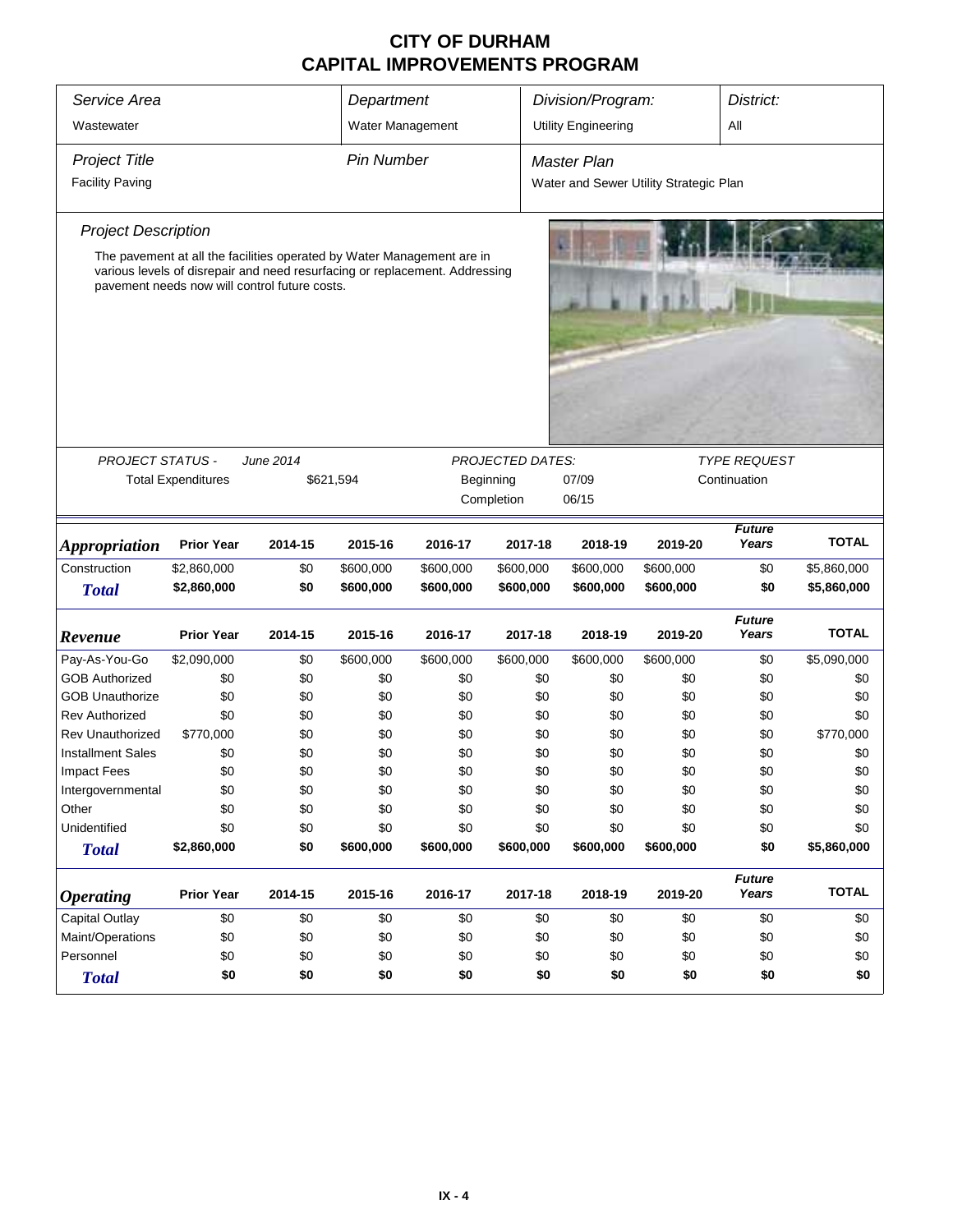| Service Area                            |                           |                                                                                                                                                                                                        | Department        |            |                         | Division/Program:                      |            | District:                           |              |
|-----------------------------------------|---------------------------|--------------------------------------------------------------------------------------------------------------------------------------------------------------------------------------------------------|-------------------|------------|-------------------------|----------------------------------------|------------|-------------------------------------|--------------|
| Wastewater                              |                           |                                                                                                                                                                                                        | Water Management  |            |                         | <b>Utility Engineering</b>             |            | Αll                                 |              |
| <b>Project Title</b>                    |                           |                                                                                                                                                                                                        | <b>Pin Number</b> |            |                         | Master Plan                            |            |                                     |              |
| <b>Facility Paving</b>                  |                           |                                                                                                                                                                                                        |                   |            |                         | Water and Sewer Utility Strategic Plan |            |                                     |              |
| <b>Project Description</b>              |                           |                                                                                                                                                                                                        |                   |            |                         |                                        |            |                                     |              |
|                                         |                           | The pavement at all the facilities operated by Water Management are in<br>various levels of disrepair and need resurfacing or replacement. Addressing<br>pavement needs now will control future costs. |                   |            |                         |                                        |            |                                     |              |
|                                         |                           |                                                                                                                                                                                                        |                   |            | <b>PROJECTED DATES:</b> |                                        |            |                                     |              |
| PROJECT STATUS -                        | <b>Total Expenditures</b> | June 2014<br>\$621,594                                                                                                                                                                                 |                   |            | Beginning               | 07/09                                  |            | <b>TYPE REQUEST</b><br>Continuation |              |
|                                         |                           |                                                                                                                                                                                                        |                   |            | Completion              | 06/15                                  |            |                                     |              |
|                                         |                           |                                                                                                                                                                                                        |                   |            |                         |                                        |            |                                     |              |
| <b>Appropriation</b>                    | <b>Prior Year</b>         | 2014-15                                                                                                                                                                                                | 2015-16           | 2016-17    | 2017-18                 | 2018-19                                | 2019-20    | <b>Future</b><br>Years              | <b>TOTAL</b> |
| Construction                            | \$2,860,000               | \$0                                                                                                                                                                                                    | \$600,000         | \$600,000  | \$600,000               | \$600,000                              | \$600,000  | \$0                                 | \$5,860,000  |
| <b>Total</b>                            | \$2,860,000               | \$0                                                                                                                                                                                                    | \$600,000         | \$600,000  | \$600,000               | \$600,000                              | \$600,000  | \$0                                 | \$5,860,000  |
| Revenue                                 | <b>Prior Year</b>         | 2014-15                                                                                                                                                                                                | 2015-16           | 2016-17    | 2017-18                 | 2018-19                                | 2019-20    | <b>Future</b><br>Years              | <b>TOTAL</b> |
| Pay-As-You-Go                           | \$2,090,000               | \$0                                                                                                                                                                                                    | \$600,000         | \$600,000  | \$600,000               | \$600,000                              | \$600,000  | \$0                                 | \$5,090,000  |
| <b>GOB Authorized</b>                   | \$0                       | \$0                                                                                                                                                                                                    | \$0               | \$0        | \$0                     | \$0                                    | \$0        | \$0                                 | \$0          |
| <b>GOB Unauthorize</b>                  | \$0                       | \$0                                                                                                                                                                                                    | \$0               | \$0        | \$0                     | \$0                                    | \$0        | \$0                                 | \$0          |
| <b>Rev Authorized</b>                   | \$0                       | \$0                                                                                                                                                                                                    | \$0               | \$0        | \$0                     | \$0                                    | \$0        | \$0                                 | \$0          |
| <b>Rev Unauthorized</b>                 | \$770,000                 | \$0                                                                                                                                                                                                    | \$0               | \$0        | \$0                     | \$0                                    | \$0        | \$0                                 | \$770,000    |
| <b>Installment Sales</b>                | \$0                       | \$0                                                                                                                                                                                                    | \$0               | \$0        | \$0                     | \$0                                    | \$0        | \$0                                 | \$0          |
| <b>Impact Fees</b><br>Intergovernmental | \$0<br>\$0                | \$0<br>\$0                                                                                                                                                                                             | \$0<br>\$0        | \$0<br>\$0 | \$0<br>\$0              | \$0<br>\$0                             | \$0<br>\$0 | \$0<br>\$0                          | \$0<br>\$0   |
| Other                                   | \$0                       | \$0                                                                                                                                                                                                    | \$0               | \$0        | \$0                     | \$0                                    | \$0        | \$0                                 | \$0          |
| Unidentified                            | \$0                       | \$0                                                                                                                                                                                                    | \$0               | \$0        | \$0                     | \$0                                    | \$0        | \$0                                 | \$0          |
| <b>Total</b>                            | \$2,860,000               | \$0                                                                                                                                                                                                    | \$600,000         | \$600,000  | \$600,000               | \$600,000                              | \$600,000  | \$0                                 | \$5,860,000  |
| <b>Operating</b>                        | <b>Prior Year</b>         | 2014-15                                                                                                                                                                                                | 2015-16           | 2016-17    | 2017-18                 | 2018-19                                | 2019-20    | <b>Future</b><br>Years              | <b>TOTAL</b> |
| Capital Outlay                          | \$0                       | \$0                                                                                                                                                                                                    | \$0               | \$0        | \$0                     | \$0                                    | \$0        | \$0                                 | \$0          |
| Maint/Operations                        | \$0                       | \$0                                                                                                                                                                                                    | \$0               | \$0        | \$0                     | \$0                                    | \$0        | \$0                                 | \$0          |
| Personnel                               | \$0                       | \$0                                                                                                                                                                                                    | \$0               | \$0        | \$0                     | \$0                                    | \$0        | \$0                                 | \$0          |
| <b>Total</b>                            | \$0                       | \$0                                                                                                                                                                                                    | \$0               | \$0        | \$0                     | \$0                                    | \$0        | \$0                                 | \$0          |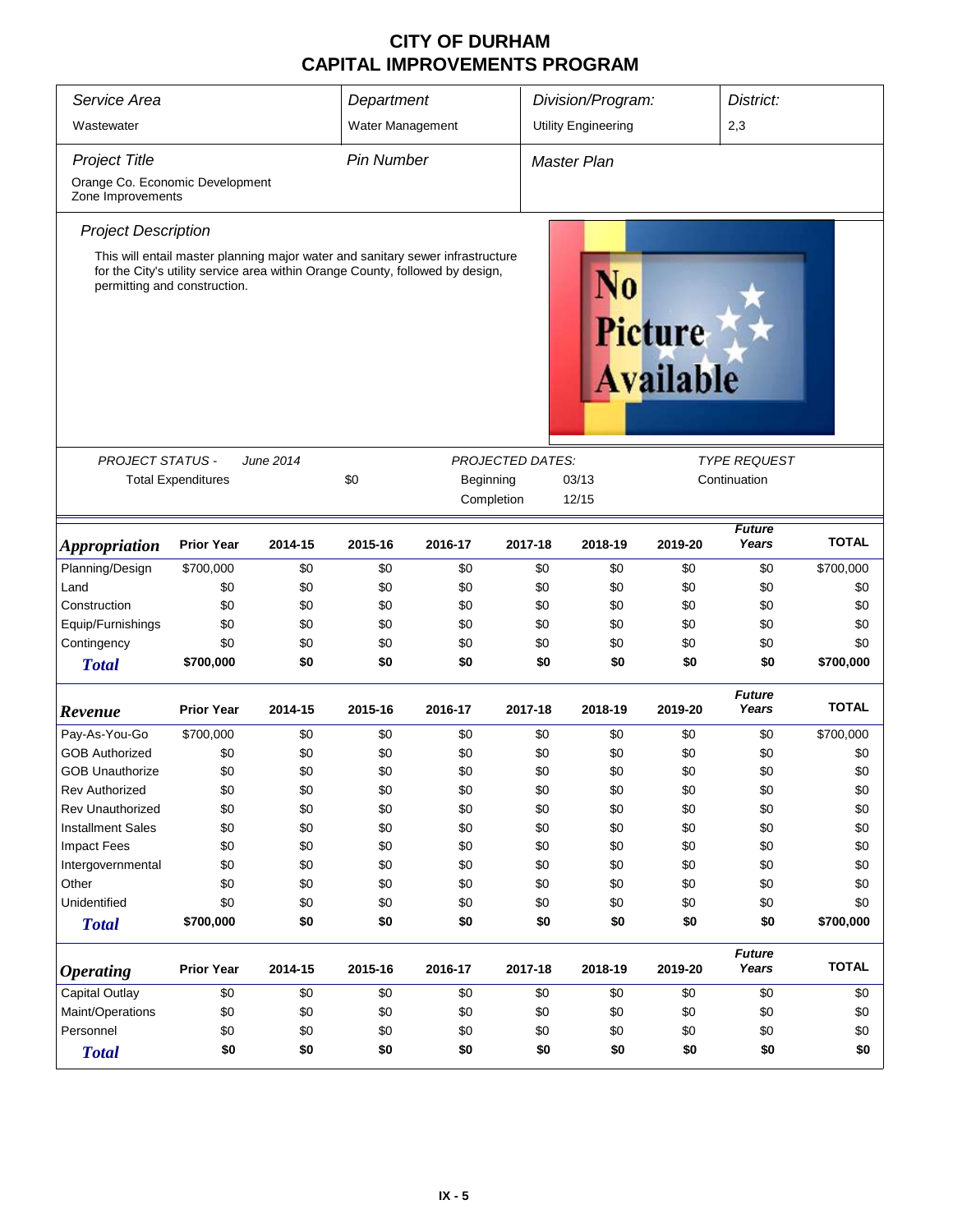| Service Area                                         | Department                                                                                                                                                                                      | Division/Program:<br>District: |                   |            |                                    |                            |         |                        |              |
|------------------------------------------------------|-------------------------------------------------------------------------------------------------------------------------------------------------------------------------------------------------|--------------------------------|-------------------|------------|------------------------------------|----------------------------|---------|------------------------|--------------|
| Wastewater                                           |                                                                                                                                                                                                 |                                | Water Management  |            |                                    | <b>Utility Engineering</b> |         | 2,3                    |              |
|                                                      |                                                                                                                                                                                                 |                                |                   |            |                                    |                            |         |                        |              |
| <b>Project Title</b>                                 |                                                                                                                                                                                                 |                                | <b>Pin Number</b> |            |                                    | Master Plan                |         |                        |              |
| Orange Co. Economic Development<br>Zone Improvements |                                                                                                                                                                                                 |                                |                   |            |                                    |                            |         |                        |              |
| <b>Project Description</b>                           |                                                                                                                                                                                                 |                                |                   |            |                                    |                            |         |                        |              |
|                                                      | This will entail master planning major water and sanitary sewer infrastructure<br>for the City's utility service area within Orange County, followed by design,<br>permitting and construction. |                                |                   | N0         | <b>Picture</b><br><b>Available</b> |                            |         |                        |              |
| <b>PROJECT STATUS -</b>                              |                                                                                                                                                                                                 | June 2014                      |                   |            | PROJECTED DATES:                   |                            |         | <b>TYPE REQUEST</b>    |              |
|                                                      | <b>Total Expenditures</b>                                                                                                                                                                       |                                | \$0               | Beginning  |                                    | 03/13                      |         | Continuation           |              |
|                                                      |                                                                                                                                                                                                 |                                |                   | Completion |                                    | 12/15                      |         |                        |              |
|                                                      |                                                                                                                                                                                                 |                                |                   |            |                                    |                            |         | <b>Future</b>          |              |
| <b>Appropriation</b>                                 | <b>Prior Year</b>                                                                                                                                                                               | 2014-15                        | 2015-16           | 2016-17    | 2017-18                            | 2018-19                    | 2019-20 | Years                  | <b>TOTAL</b> |
| Planning/Design                                      | \$700,000                                                                                                                                                                                       | \$0                            | \$0               | \$0        | \$0                                | \$0                        | \$0     | \$0                    | \$700,000    |
| Land                                                 | \$0                                                                                                                                                                                             | \$0                            | \$0               | \$0        | \$0                                | \$0                        | \$0     | \$0                    | \$0          |
| Construction                                         | \$0                                                                                                                                                                                             | \$0                            | \$0               | \$0        | \$0                                | \$0                        | \$0     | \$0                    | \$0          |
| Equip/Furnishings                                    | \$0                                                                                                                                                                                             | \$0                            | \$0               | \$0        | \$0                                | \$0                        | \$0     | \$0                    | \$0          |
| Contingency                                          | \$0                                                                                                                                                                                             | \$0                            | \$0               | \$0        | \$0                                | \$0                        | \$0     | \$0                    | \$0          |
| <b>Total</b>                                         | \$700,000                                                                                                                                                                                       | \$0                            | \$0               | \$0        | \$0                                | \$0                        | \$0     | \$0                    | \$700,000    |
| Revenue                                              | <b>Prior Year</b>                                                                                                                                                                               | 2014-15                        | 2015-16           | 2016-17    | 2017-18                            | 2018-19                    | 2019-20 | <b>Future</b><br>Years | TOTAL        |
| Pay-As-You-Go                                        | \$700,000                                                                                                                                                                                       | \$0                            | \$0               | \$0        | \$0                                | \$0                        | \$0     | \$0                    | \$700,000    |
| <b>GOB Authorized</b>                                | \$0                                                                                                                                                                                             | \$0                            | \$0               | \$0        | \$0                                | \$0                        | \$0     | \$0                    | \$0          |
| <b>GOB Unauthorize</b>                               | \$0                                                                                                                                                                                             | \$0                            | \$0               | \$0        | \$0                                | \$0                        | \$0     | \$0                    | \$0          |
| Rev Authorized                                       | \$0                                                                                                                                                                                             | \$0                            | \$0               | \$0        | \$0                                | \$0                        | \$0     | \$0                    | \$0          |
| <b>Rev Unauthorized</b>                              | \$0                                                                                                                                                                                             | \$0                            | \$0               | \$0        | \$0                                | \$0                        | \$0     | \$0                    | \$0          |
| <b>Installment Sales</b>                             | \$0                                                                                                                                                                                             | \$0                            | \$0               | \$0        | \$0                                | \$0                        | \$0     | \$0                    | \$0          |
| <b>Impact Fees</b>                                   | \$0                                                                                                                                                                                             | \$0                            | \$0               | \$0        | \$0                                | \$0                        | \$0     | \$0                    | \$0          |
| Intergovernmental                                    | \$0                                                                                                                                                                                             | \$0                            | \$0               | \$0        | \$0                                | \$0                        | \$0     | \$0                    | \$0          |
| Other                                                | \$0                                                                                                                                                                                             | \$0                            | \$0               | \$0        | \$0                                | \$0                        | \$0     | \$0                    | \$0          |
| Unidentified                                         | \$0                                                                                                                                                                                             | \$0                            | \$0               | \$0        | \$0                                | \$0                        | \$0     | \$0                    | \$0          |
| <b>Total</b>                                         | \$700,000                                                                                                                                                                                       | \$0                            | \$0               | \$0        | \$0                                | \$0                        | \$0     | \$0                    | \$700,000    |
| <b>Operating</b>                                     | <b>Prior Year</b>                                                                                                                                                                               | 2014-15                        | 2015-16           | 2016-17    | 2017-18                            | 2018-19                    | 2019-20 | <b>Future</b><br>Years | <b>TOTAL</b> |
| <b>Capital Outlay</b>                                | \$0                                                                                                                                                                                             | \$0                            | \$0               | \$0        | \$0                                | \$0                        | \$0     | \$0                    | \$0          |
| Maint/Operations                                     | \$0                                                                                                                                                                                             | \$0                            | \$0               | \$0        | \$0                                | \$0                        | \$0     | \$0                    | \$0          |
| Personnel                                            | \$0                                                                                                                                                                                             | \$0                            | \$0               | \$0        | \$0                                | \$0                        | \$0     | \$0                    | \$0          |
| <b>Total</b>                                         | \$0                                                                                                                                                                                             | \$0                            | \$0               | \$0        | \$0                                | \$0                        | \$0     | \$0                    | \$0          |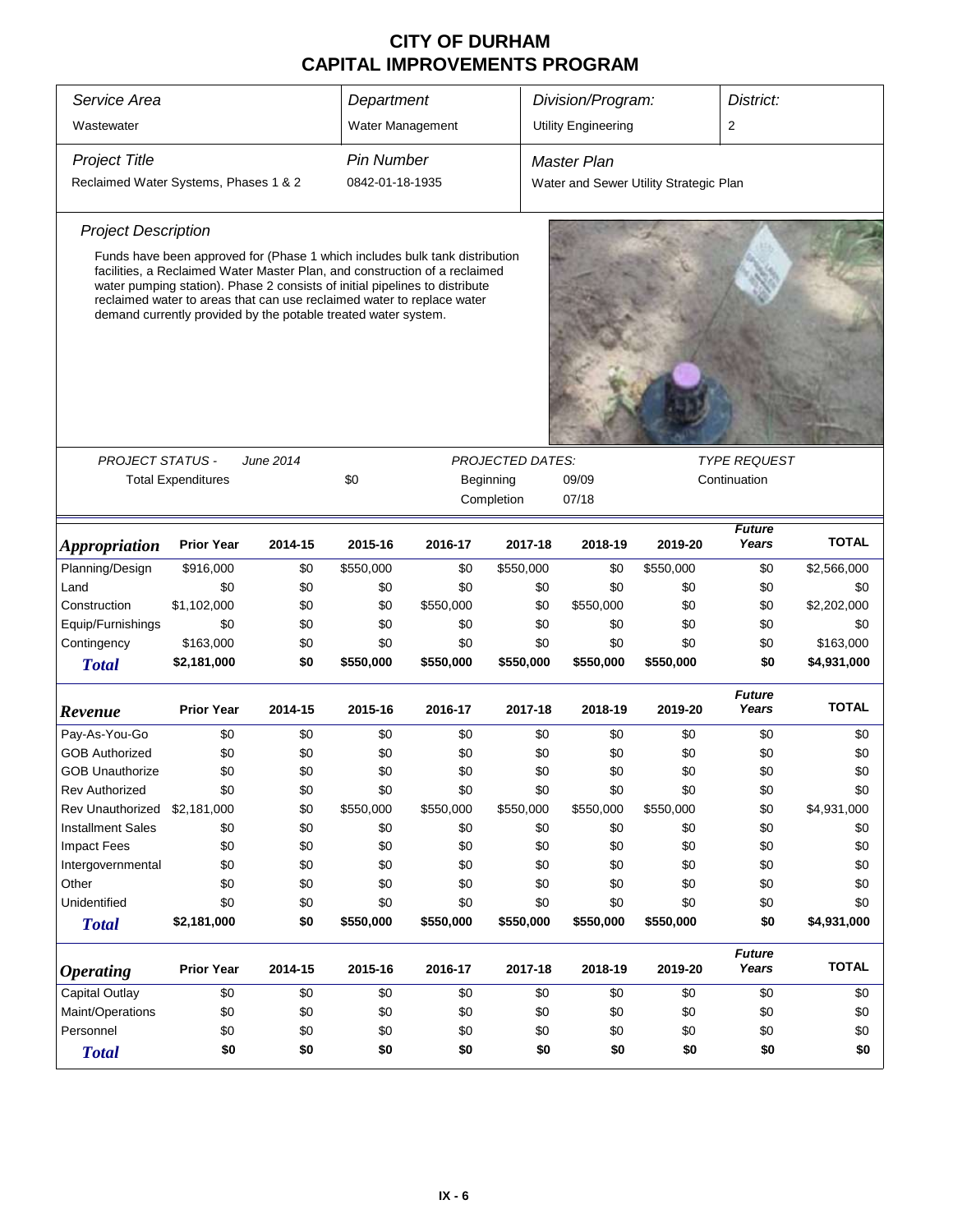| Service Area                          |                                                                                                                                                                                                                                                                                                                                                                                      |           | Department        |           | Division/Program:<br>District:       |                                        |                                     |                        |              |
|---------------------------------------|--------------------------------------------------------------------------------------------------------------------------------------------------------------------------------------------------------------------------------------------------------------------------------------------------------------------------------------------------------------------------------------|-----------|-------------------|-----------|--------------------------------------|----------------------------------------|-------------------------------------|------------------------|--------------|
|                                       |                                                                                                                                                                                                                                                                                                                                                                                      |           | Water Management  |           |                                      | <b>Utility Engineering</b>             |                                     | 2                      |              |
| Wastewater                            |                                                                                                                                                                                                                                                                                                                                                                                      |           |                   |           |                                      |                                        |                                     |                        |              |
| <b>Project Title</b>                  |                                                                                                                                                                                                                                                                                                                                                                                      |           | <b>Pin Number</b> |           |                                      | <b>Master Plan</b>                     |                                     |                        |              |
| Reclaimed Water Systems, Phases 1 & 2 |                                                                                                                                                                                                                                                                                                                                                                                      |           | 0842-01-18-1935   |           |                                      | Water and Sewer Utility Strategic Plan |                                     |                        |              |
| <b>Project Description</b>            |                                                                                                                                                                                                                                                                                                                                                                                      |           |                   |           |                                      |                                        |                                     |                        |              |
|                                       | Funds have been approved for (Phase 1 which includes bulk tank distribution<br>facilities, a Reclaimed Water Master Plan, and construction of a reclaimed<br>water pumping station). Phase 2 consists of initial pipelines to distribute<br>reclaimed water to areas that can use reclaimed water to replace water<br>demand currently provided by the potable treated water system. |           |                   |           |                                      |                                        |                                     |                        |              |
|                                       |                                                                                                                                                                                                                                                                                                                                                                                      | June 2014 |                   |           |                                      |                                        |                                     |                        |              |
| <b>PROJECT STATUS -</b>               | <b>Total Expenditures</b>                                                                                                                                                                                                                                                                                                                                                            |           | \$0               |           | <b>PROJECTED DATES:</b><br>Beginning | 09/09                                  | <b>TYPE REQUEST</b><br>Continuation |                        |              |
|                                       |                                                                                                                                                                                                                                                                                                                                                                                      |           |                   |           | Completion                           | 07/18                                  |                                     |                        |              |
|                                       |                                                                                                                                                                                                                                                                                                                                                                                      |           |                   |           |                                      |                                        |                                     |                        |              |
| <i><b>Appropriation</b></i>           | <b>Prior Year</b>                                                                                                                                                                                                                                                                                                                                                                    | 2014-15   | 2015-16           | 2016-17   | 2017-18                              | 2018-19                                | 2019-20                             | <b>Future</b><br>Years | <b>TOTAL</b> |
| Planning/Design                       | \$916,000                                                                                                                                                                                                                                                                                                                                                                            | \$0       | \$550,000         | \$0       | \$550,000                            | \$0                                    | \$550,000                           | \$0                    | \$2,566,000  |
| Land                                  | \$0                                                                                                                                                                                                                                                                                                                                                                                  | \$0       | \$0               | \$0       | \$0                                  | \$0                                    | \$0                                 | \$0                    | \$0          |
| Construction                          | \$1,102,000                                                                                                                                                                                                                                                                                                                                                                          | \$0       | \$0               | \$550,000 | \$0                                  | \$550,000                              | \$0                                 | \$0                    | \$2,202,000  |
| Equip/Furnishings                     | \$0                                                                                                                                                                                                                                                                                                                                                                                  | \$0       | \$0               | \$0       | \$0                                  | \$0                                    | \$0                                 | \$0                    | \$0          |
| Contingency                           | \$163,000                                                                                                                                                                                                                                                                                                                                                                            | \$0       | \$0               | \$0       | \$0                                  | \$0                                    | \$0                                 | \$0                    | \$163,000    |
| <b>Total</b>                          | \$2,181,000                                                                                                                                                                                                                                                                                                                                                                          | \$0       | \$550,000         | \$550,000 | \$550,000                            | \$550,000                              | \$550,000                           | \$0                    | \$4,931,000  |
| Revenue                               | <b>Prior Year</b>                                                                                                                                                                                                                                                                                                                                                                    | 2014-15   | 2015-16           | 2016-17   | 2017-18                              | 2018-19                                | 2019-20                             | <b>Future</b><br>Years | TOTAL        |
| Pay-As-You-Go                         | \$0                                                                                                                                                                                                                                                                                                                                                                                  | \$0       | \$0               | \$0       | \$0                                  | \$0                                    | \$0                                 | \$0                    | \$0          |
| <b>GOB Authorized</b>                 | \$0                                                                                                                                                                                                                                                                                                                                                                                  | \$0       | \$0               | \$0       | \$0                                  | \$0                                    | \$0                                 | \$0                    | \$0          |
| <b>GOB Unauthorize</b>                | \$0                                                                                                                                                                                                                                                                                                                                                                                  | \$0       | \$0               | \$0       | \$0                                  | \$0                                    | \$0                                 | \$0                    | \$0          |
| Rev Authorized                        | \$0                                                                                                                                                                                                                                                                                                                                                                                  | \$0       | \$0               | \$0       | \$0                                  | \$0                                    | \$0                                 | \$0                    | \$0          |
| Rev Unauthorized                      | \$2,181,000                                                                                                                                                                                                                                                                                                                                                                          | \$0       | \$550,000         | \$550,000 | \$550,000                            | \$550,000                              | \$550,000                           | \$0                    | \$4,931,000  |
| <b>Installment Sales</b>              | \$0                                                                                                                                                                                                                                                                                                                                                                                  | \$0       | \$0               | \$0       | \$0                                  | \$0                                    | \$0                                 | \$0                    | \$0          |
| <b>Impact Fees</b>                    | \$0                                                                                                                                                                                                                                                                                                                                                                                  | \$0       | \$0               | \$0       | \$0                                  | \$0                                    | \$0                                 | \$0                    | \$0          |
| Intergovernmental                     | \$0                                                                                                                                                                                                                                                                                                                                                                                  | \$0       | \$0               | \$0       | \$0                                  | \$0                                    | \$0                                 | \$0                    | \$0          |
| Other                                 | \$0                                                                                                                                                                                                                                                                                                                                                                                  | \$0       | \$0               | \$0       | \$0                                  | \$0                                    | \$0                                 | \$0                    | \$0          |
| Unidentified                          | \$0                                                                                                                                                                                                                                                                                                                                                                                  | \$0       | \$0               | \$0       | \$0                                  | \$0                                    | \$0                                 | \$0                    | \$0          |
| <b>Total</b>                          | \$2,181,000                                                                                                                                                                                                                                                                                                                                                                          | \$0       | \$550,000         | \$550,000 | \$550,000                            | \$550,000                              | \$550,000                           | \$0                    | \$4,931,000  |
| <b>Operating</b>                      | <b>Prior Year</b>                                                                                                                                                                                                                                                                                                                                                                    | 2014-15   | 2015-16           | 2016-17   | 2017-18                              | 2018-19                                | 2019-20                             | <b>Future</b><br>Years | <b>TOTAL</b> |
| Capital Outlay                        | \$0                                                                                                                                                                                                                                                                                                                                                                                  | \$0       | \$0               | \$0       | \$0                                  | \$0                                    | \$0                                 | \$0                    | \$0          |
| Maint/Operations                      | \$0                                                                                                                                                                                                                                                                                                                                                                                  | \$0       | \$0               | \$0       | \$0                                  | \$0                                    | \$0                                 | \$0                    | \$0          |
| Personnel                             | \$0                                                                                                                                                                                                                                                                                                                                                                                  | \$0       | \$0               | \$0       | \$0                                  | \$0                                    | \$0                                 | \$0                    | \$0          |
| <b>Total</b>                          | \$0                                                                                                                                                                                                                                                                                                                                                                                  | \$0       | \$0               | \$0       | \$0                                  | \$0                                    | \$0                                 | \$0                    | \$0          |
|                                       |                                                                                                                                                                                                                                                                                                                                                                                      |           |                   |           |                                      |                                        |                                     |                        |              |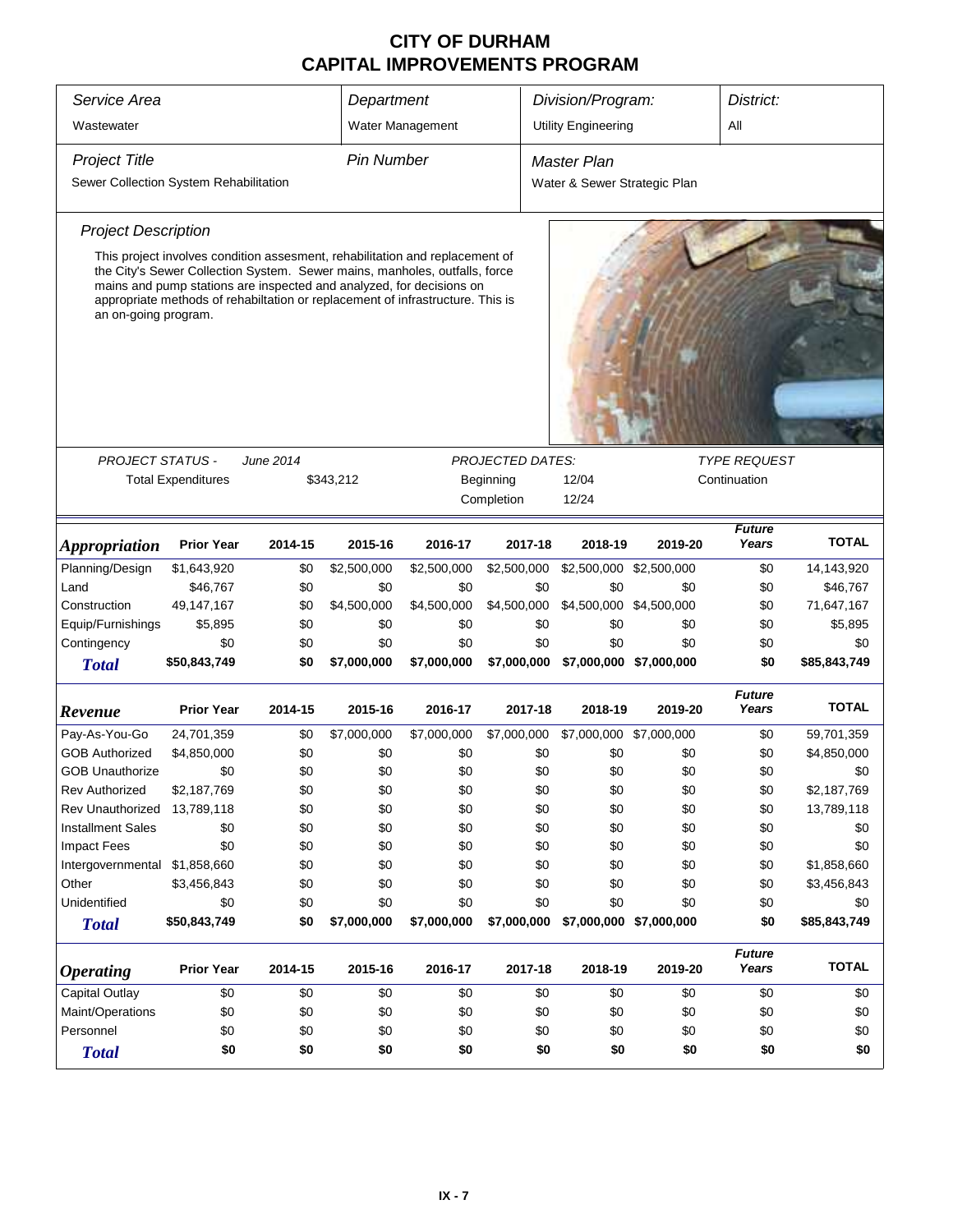| Division/Program:<br>Service Area<br>Department |                                                                                                                                                                                                                                                                                                                      |           |                   |                  | District:               |                              |                         |                        |              |
|-------------------------------------------------|----------------------------------------------------------------------------------------------------------------------------------------------------------------------------------------------------------------------------------------------------------------------------------------------------------------------|-----------|-------------------|------------------|-------------------------|------------------------------|-------------------------|------------------------|--------------|
| Wastewater                                      |                                                                                                                                                                                                                                                                                                                      |           |                   | Water Management |                         | <b>Utility Engineering</b>   |                         | All                    |              |
| <b>Project Title</b>                            |                                                                                                                                                                                                                                                                                                                      |           | <b>Pin Number</b> |                  |                         | Master Plan                  |                         |                        |              |
| Sewer Collection System Rehabilitation          |                                                                                                                                                                                                                                                                                                                      |           |                   |                  |                         | Water & Sewer Strategic Plan |                         |                        |              |
| <b>Project Description</b>                      |                                                                                                                                                                                                                                                                                                                      |           |                   |                  |                         |                              |                         |                        |              |
| an on-going program.                            | This project involves condition assesment, rehabilitation and replacement of<br>the City's Sewer Collection System. Sewer mains, manholes, outfalls, force<br>mains and pump stations are inspected and analyzed, for decisions on<br>appropriate methods of rehabiltation or replacement of infrastructure. This is |           |                   |                  |                         |                              |                         |                        |              |
|                                                 |                                                                                                                                                                                                                                                                                                                      |           |                   |                  |                         |                              |                         |                        |              |
| <b>PROJECT STATUS -</b>                         |                                                                                                                                                                                                                                                                                                                      | June 2014 |                   |                  | PROJECTED DATES:        |                              |                         | <b>TYPE REQUEST</b>    |              |
|                                                 | <b>Total Expenditures</b>                                                                                                                                                                                                                                                                                            |           | \$343,212         |                  | Beginning<br>Completion | 12/04<br>12/24               | Continuation            |                        |              |
|                                                 |                                                                                                                                                                                                                                                                                                                      |           |                   |                  |                         |                              |                         |                        |              |
| <i><b>Appropriation</b></i>                     | <b>Prior Year</b>                                                                                                                                                                                                                                                                                                    | 2014-15   | 2015-16           | 2016-17          | 2017-18                 | 2018-19                      | 2019-20                 | Years                  | <b>TOTAL</b> |
| Planning/Design                                 | \$1,643,920                                                                                                                                                                                                                                                                                                          | \$0       | \$2,500,000       | \$2,500,000      | \$2,500,000             | \$2,500,000                  | \$2,500,000             | \$0                    | 14,143,920   |
| Land                                            | \$46,767                                                                                                                                                                                                                                                                                                             | \$0       | \$0               | \$0              | \$0                     | \$0                          | \$0                     | \$0                    | \$46,767     |
| Construction                                    | 49,147,167                                                                                                                                                                                                                                                                                                           | \$0       | \$4,500,000       | \$4,500,000      | \$4,500,000             | \$4,500,000 \$4,500,000      |                         | \$0                    | 71,647,167   |
| Equip/Furnishings                               | \$5,895                                                                                                                                                                                                                                                                                                              | \$0       | \$0               | \$0              | \$0                     | \$0                          | \$0                     | \$0                    | \$5,895      |
| Contingency                                     | \$0                                                                                                                                                                                                                                                                                                                  | \$0       | \$0               | \$0              | \$0                     | \$0                          | \$0                     | \$0                    | \$0          |
| <b>Total</b>                                    | \$50,843,749                                                                                                                                                                                                                                                                                                         | \$0       | \$7,000,000       | \$7,000,000      | \$7,000,000             | \$7,000,000 \$7,000,000      |                         | \$0                    | \$85,843,749 |
| Revenue                                         | <b>Prior Year</b>                                                                                                                                                                                                                                                                                                    | 2014-15   | 2015-16           | 2016-17          | 2017-18                 | 2018-19                      | 2019-20                 | <b>Future</b><br>Years | <b>TOTAL</b> |
| Pay-As-You-Go                                   | 24,701,359                                                                                                                                                                                                                                                                                                           | \$0       | \$7,000,000       | \$7,000,000      | \$7,000,000             | \$7,000,000 \$7,000,000      |                         | \$0                    | 59,701,359   |
| <b>GOB Authorized</b>                           | \$4,850,000                                                                                                                                                                                                                                                                                                          | \$0       | \$0               | \$0              | \$0                     | \$0                          | \$0                     | \$0                    | \$4,850,000  |
| <b>GOB Unauthorize</b>                          | \$0                                                                                                                                                                                                                                                                                                                  | \$0       | \$0               | \$0              | \$0                     | \$0                          | \$0                     | \$0                    | \$0          |
| <b>Rev Authorized</b>                           | \$2,187,769                                                                                                                                                                                                                                                                                                          | \$0       | \$0               | \$0              | \$0                     | \$0                          | \$0                     | \$0                    | \$2,187,769  |
| <b>Rev Unauthorized</b>                         | 13,789,118                                                                                                                                                                                                                                                                                                           | \$0       | \$0               | \$0              | \$0                     | \$0                          | \$0                     | \$0                    | 13,789,118   |
| <b>Installment Sales</b>                        | \$0                                                                                                                                                                                                                                                                                                                  | \$0       | \$0               | \$0              | \$0                     | \$0                          | \$0                     | \$0                    | \$0          |
| <b>Impact Fees</b>                              | \$0                                                                                                                                                                                                                                                                                                                  | \$0       | \$0               | \$0              | \$0                     | \$0                          | \$0                     | \$0                    | \$0          |
| Intergovernmental                               | \$1,858,660                                                                                                                                                                                                                                                                                                          | \$0       | \$0               | \$0              | \$0                     | \$0                          | \$0                     | \$0                    | \$1,858,660  |
| Other                                           | \$3,456,843                                                                                                                                                                                                                                                                                                          | \$0       | \$0               | \$0              | \$0                     | \$0                          | \$0                     | \$0                    | \$3,456,843  |
| Unidentified                                    | \$0                                                                                                                                                                                                                                                                                                                  | \$0       | \$0               | \$0              | \$0                     | \$0                          | \$0                     | \$0                    | \$0          |
| <b>Total</b>                                    | \$50,843,749                                                                                                                                                                                                                                                                                                         | \$0       | \$7,000,000       | \$7,000,000      | \$7,000,000             |                              | \$7,000,000 \$7,000,000 | \$0                    | \$85,843,749 |
| <b>Operating</b>                                | <b>Prior Year</b>                                                                                                                                                                                                                                                                                                    | 2014-15   | 2015-16           | 2016-17          | 2017-18                 | 2018-19                      | 2019-20                 | <b>Future</b><br>Years | <b>TOTAL</b> |
| <b>Capital Outlay</b>                           | \$0                                                                                                                                                                                                                                                                                                                  | \$0       | \$0               | \$0              | \$0                     | \$0                          | \$0                     | \$0                    | \$0          |
| Maint/Operations                                | \$0                                                                                                                                                                                                                                                                                                                  | \$0       | \$0               | \$0              | \$0                     | \$0                          | \$0                     | \$0                    | \$0          |
| Personnel                                       | \$0                                                                                                                                                                                                                                                                                                                  | \$0       | \$0               | \$0              | \$0                     | \$0                          | \$0                     | \$0                    | \$0          |
| <b>Total</b>                                    | \$0                                                                                                                                                                                                                                                                                                                  | \$0       | \$0               | \$0              | \$0                     | \$0                          | \$0                     | \$0                    | \$0          |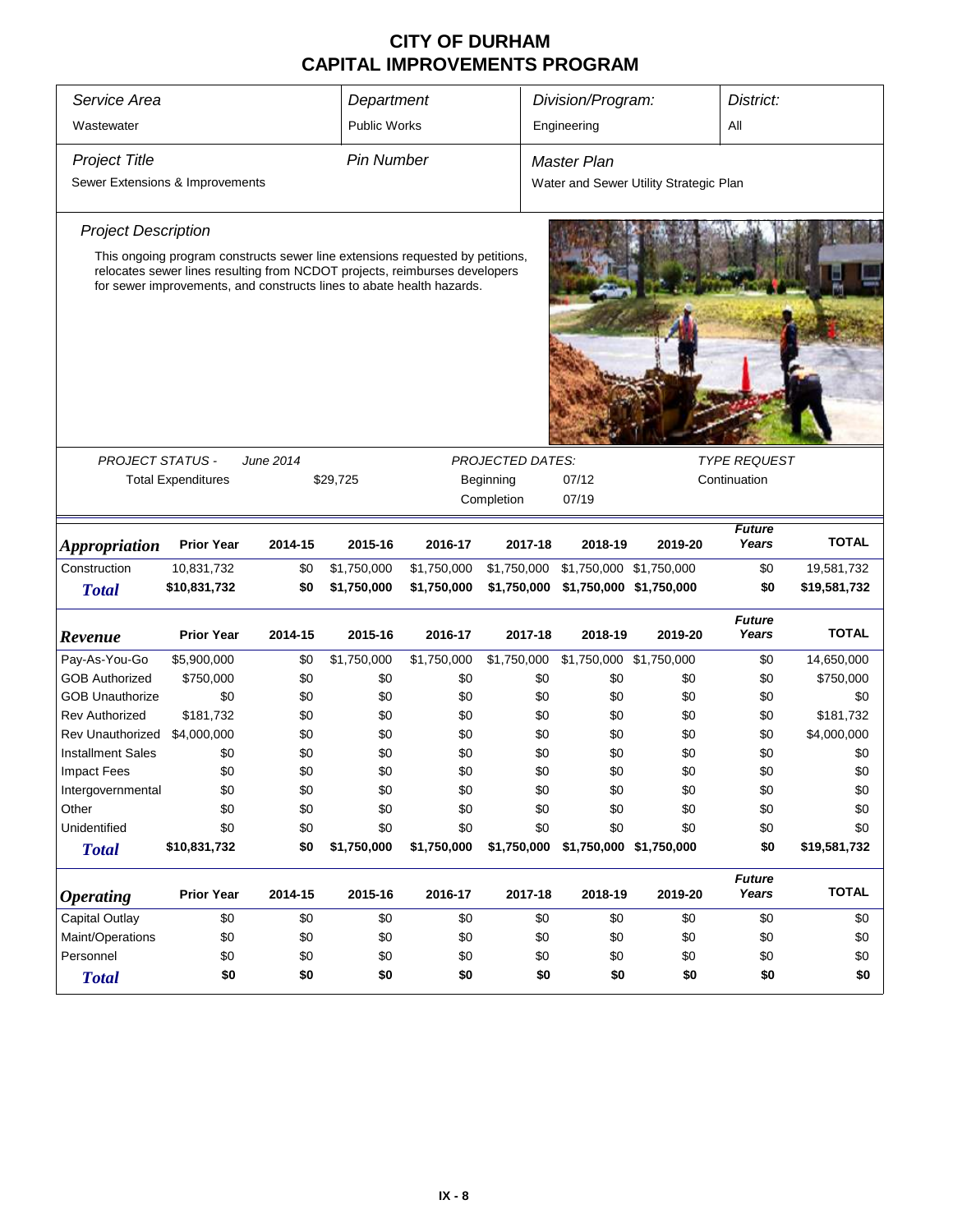| Service Area                           |                           |                                                                                                                                                             | Department        |             |                         | Division/Program:       |                                        | District:              |                  |
|----------------------------------------|---------------------------|-------------------------------------------------------------------------------------------------------------------------------------------------------------|-------------------|-------------|-------------------------|-------------------------|----------------------------------------|------------------------|------------------|
| Wastewater                             |                           |                                                                                                                                                             | Public Works      |             |                         | Engineering             |                                        | All                    |                  |
| <b>Project Title</b>                   |                           |                                                                                                                                                             | <b>Pin Number</b> |             |                         | <b>Master Plan</b>      |                                        |                        |                  |
| Sewer Extensions & Improvements        |                           |                                                                                                                                                             |                   |             |                         |                         | Water and Sewer Utility Strategic Plan |                        |                  |
| <b>Project Description</b>             |                           |                                                                                                                                                             |                   |             |                         |                         |                                        |                        |                  |
|                                        |                           | This ongoing program constructs sewer line extensions requested by petitions,<br>relocates sewer lines resulting from NCDOT projects, reimburses developers |                   |             |                         |                         |                                        |                        |                  |
|                                        |                           | for sewer improvements, and constructs lines to abate health hazards.                                                                                       |                   |             |                         |                         |                                        |                        |                  |
|                                        |                           |                                                                                                                                                             |                   |             |                         |                         |                                        |                        |                  |
|                                        |                           |                                                                                                                                                             |                   |             |                         |                         |                                        |                        |                  |
|                                        |                           |                                                                                                                                                             |                   |             |                         |                         |                                        |                        |                  |
|                                        |                           |                                                                                                                                                             |                   |             |                         |                         |                                        |                        |                  |
|                                        |                           |                                                                                                                                                             |                   |             |                         |                         |                                        |                        |                  |
| <b>PROJECT STATUS -</b>                |                           | June 2014                                                                                                                                                   |                   |             | <b>PROJECTED DATES:</b> |                         |                                        | <b>TYPE REQUEST</b>    |                  |
|                                        | <b>Total Expenditures</b> |                                                                                                                                                             | \$29,725          |             | Beginning               | 07/12                   |                                        | Continuation           |                  |
|                                        |                           |                                                                                                                                                             |                   |             | Completion              | 07/19                   |                                        |                        |                  |
| <i><b>Appropriation</b></i>            | <b>Prior Year</b>         | 2014-15                                                                                                                                                     | 2015-16           | 2016-17     | 2017-18                 | 2018-19                 | 2019-20                                | <b>Future</b><br>Years | <b>TOTAL</b>     |
| Construction                           | 10,831,732                | \$0                                                                                                                                                         | \$1,750,000       | \$1,750,000 | \$1,750,000             | \$1,750,000 \$1,750,000 |                                        | \$0                    | 19,581,732       |
| <b>Total</b>                           | \$10,831,732              | \$0                                                                                                                                                         | \$1,750,000       | \$1,750,000 | \$1,750,000             | \$1,750,000 \$1,750,000 |                                        | \$0                    | \$19,581,732     |
|                                        | <b>Prior Year</b>         | 2014-15                                                                                                                                                     | 2015-16           | 2016-17     | 2017-18                 | 2018-19                 | 2019-20                                | <b>Future</b><br>Years | <b>TOTAL</b>     |
| Revenue                                |                           |                                                                                                                                                             |                   |             |                         |                         |                                        |                        |                  |
| Pay-As-You-Go<br><b>GOB Authorized</b> | \$5,900,000               | \$0                                                                                                                                                         | \$1,750,000       | \$1,750,000 | \$1,750,000             | \$1,750,000 \$1,750,000 |                                        | \$0                    | 14,650,000       |
| <b>GOB Unauthorize</b>                 | \$750,000<br>\$0          | \$0<br>\$0                                                                                                                                                  | \$0<br>\$0        | \$0<br>\$0  | \$0<br>\$0              | \$0<br>\$0              | \$0<br>\$0                             | \$0<br>\$0             | \$750,000<br>\$0 |
| <b>Rev Authorized</b>                  | \$181,732                 | \$0                                                                                                                                                         | \$0               | \$0         | \$0                     | \$0                     | \$0                                    | \$0                    | \$181,732        |
| <b>Rev Unauthorized</b>                | \$4,000,000               | \$0                                                                                                                                                         | \$0               | \$0         | \$0                     | \$0                     | \$0                                    | \$0                    | \$4,000,000      |
| <b>Installment Sales</b>               | \$0                       | \$0                                                                                                                                                         | \$0               | \$0         | \$0                     | \$0                     | \$0                                    | \$0                    | \$0              |
| <b>Impact Fees</b>                     | \$0                       | \$0                                                                                                                                                         | \$0               | \$0         | \$0                     | \$0                     | \$0                                    | \$0                    | \$0              |
| Intergovernmental                      | \$0                       | \$0                                                                                                                                                         | \$0               | \$0         | \$0                     | \$0                     | \$0                                    | \$0                    | \$0              |
| Other                                  | \$0                       | \$0                                                                                                                                                         | \$0               | \$0         | \$0                     | \$0                     | \$0                                    | \$0                    | \$0              |
| Unidentified                           | \$0                       | \$0                                                                                                                                                         | \$0               | \$0         | \$0                     | \$0                     | \$0                                    | \$0                    | \$0              |
| <b>Total</b>                           | \$10,831,732              | \$0                                                                                                                                                         | \$1,750,000       | \$1,750,000 | \$1,750,000             |                         | \$1,750,000 \$1,750,000                | \$0                    | \$19,581,732     |
|                                        |                           |                                                                                                                                                             |                   |             |                         |                         |                                        | <b>Future</b>          |                  |
| <b>Operating</b>                       | <b>Prior Year</b>         | 2014-15                                                                                                                                                     | 2015-16           | 2016-17     | 2017-18                 | 2018-19                 | 2019-20                                | Years                  | <b>TOTAL</b>     |
| Capital Outlay                         | \$0                       | \$0                                                                                                                                                         | \$0               | \$0         | \$0                     | \$0                     | \$0                                    | \$0                    | \$0              |
| Maint/Operations                       | \$0                       | \$0                                                                                                                                                         | \$0               | \$0         | \$0                     | \$0                     | \$0                                    | \$0                    | \$0              |
| Personnel                              | \$0                       | \$0                                                                                                                                                         | \$0               | \$0         | \$0                     | \$0                     | \$0                                    | \$0                    | \$0              |
| <b>Total</b>                           | \$0                       | \$0                                                                                                                                                         | \$0               | \$0         | \$0                     | \$0                     | \$0                                    | \$0                    | \$0              |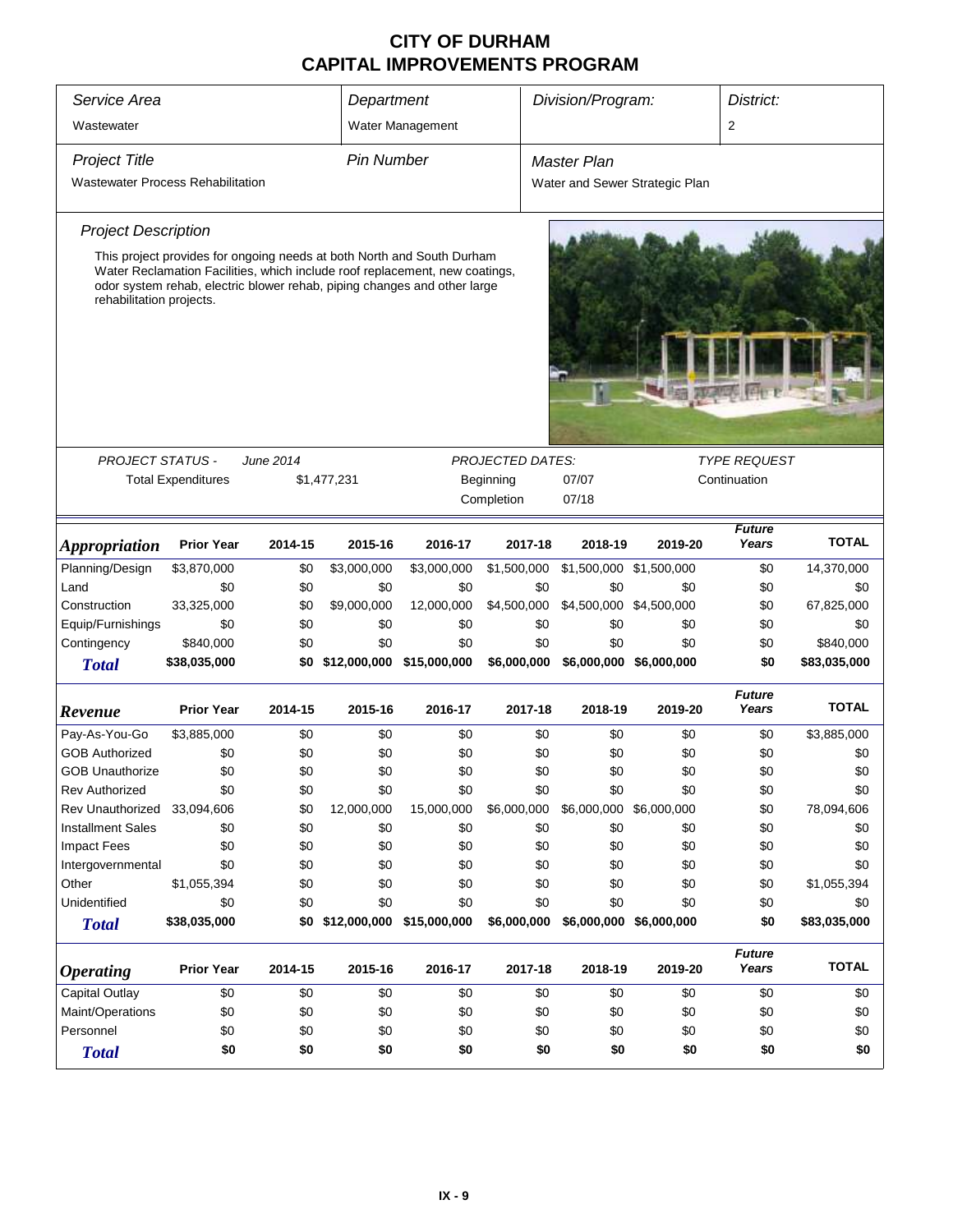| Service Area<br>Department               |                                                                                                                                                                                                                                   |                  |                               |                  |                         | Division/Program:       |                                | District:                           |              |
|------------------------------------------|-----------------------------------------------------------------------------------------------------------------------------------------------------------------------------------------------------------------------------------|------------------|-------------------------------|------------------|-------------------------|-------------------------|--------------------------------|-------------------------------------|--------------|
| Wastewater                               |                                                                                                                                                                                                                                   |                  |                               | Water Management |                         |                         |                                | 2                                   |              |
| <b>Project Title</b>                     |                                                                                                                                                                                                                                   |                  | <b>Pin Number</b>             |                  |                         | <b>Master Plan</b>      |                                |                                     |              |
| <b>Wastewater Process Rehabilitation</b> |                                                                                                                                                                                                                                   |                  |                               |                  |                         |                         | Water and Sewer Strategic Plan |                                     |              |
| <b>Project Description</b>               |                                                                                                                                                                                                                                   |                  |                               |                  |                         |                         |                                |                                     |              |
| rehabilitation projects.                 | This project provides for ongoing needs at both North and South Durham<br>Water Reclamation Facilities, which include roof replacement, new coatings,<br>odor system rehab, electric blower rehab, piping changes and other large |                  |                               |                  |                         |                         |                                |                                     |              |
|                                          |                                                                                                                                                                                                                                   |                  |                               |                  |                         |                         |                                |                                     |              |
| <b>PROJECT STATUS -</b>                  |                                                                                                                                                                                                                                   | <b>June 2014</b> |                               |                  | <b>PROJECTED DATES:</b> |                         |                                | <i>TYPE REQUEST</i><br>Continuation |              |
|                                          | <b>Total Expenditures</b>                                                                                                                                                                                                         |                  | \$1,477,231                   |                  | Beginning               | 07/07                   |                                |                                     |              |
|                                          |                                                                                                                                                                                                                                   |                  |                               |                  | Completion              | 07/18                   |                                |                                     |              |
| <i><b>Appropriation</b></i>              | <b>Prior Year</b>                                                                                                                                                                                                                 | 2014-15          | 2015-16                       | 2016-17          | 2017-18                 | 2018-19                 | 2019-20                        | <b>Future</b><br>Years              | <b>TOTAL</b> |
| Planning/Design                          | \$3,870,000                                                                                                                                                                                                                       | \$0              | \$3,000,000                   | \$3,000,000      | \$1,500,000             | \$1,500,000 \$1,500,000 |                                | \$0                                 | 14,370,000   |
| Land                                     | \$0                                                                                                                                                                                                                               | \$0              | \$0                           | \$0              | \$0                     | \$0                     | \$0                            | \$0                                 | \$0          |
| Construction                             | 33,325,000                                                                                                                                                                                                                        | \$0              | \$9,000,000                   | 12,000,000       | \$4,500,000             | \$4,500,000 \$4,500,000 |                                | \$0                                 | 67,825,000   |
| Equip/Furnishings                        | \$0                                                                                                                                                                                                                               | \$0              | \$0                           | \$0              | \$0                     | \$0                     | \$0                            | \$0                                 | \$0          |
| Contingency                              | \$840,000                                                                                                                                                                                                                         | \$0              | \$0                           | \$0              | \$0                     | \$0                     | \$0                            | \$0                                 | \$840,000    |
| <b>Total</b>                             | \$38,035,000                                                                                                                                                                                                                      | \$0              | \$12,000,000 \$15,000,000     |                  | \$6,000,000             | \$6,000,000 \$6,000,000 |                                | \$0                                 | \$83,035,000 |
| Revenue                                  | <b>Prior Year</b>                                                                                                                                                                                                                 | 2014-15          | 2015-16                       | 2016-17          | 2017-18                 | 2018-19                 | 2019-20                        | <b>Future</b><br>Years              | <b>TOTAL</b> |
| Pay-As-You-Go                            | \$3,885,000                                                                                                                                                                                                                       | \$0              | \$0                           | \$0              | \$0                     | \$0                     | \$0                            | \$0                                 | \$3,885,000  |
| <b>GOB Authorized</b>                    | \$0                                                                                                                                                                                                                               | \$0              | \$0                           | \$0              | \$0                     | \$0                     | \$0                            | \$0                                 | \$0          |
| <b>GOB Unauthorize</b>                   | \$0                                                                                                                                                                                                                               | \$0              | \$0                           | \$0              | \$0                     | \$0                     | \$0                            | \$0                                 | \$0          |
| <b>Rev Authorized</b>                    | \$0                                                                                                                                                                                                                               | \$0              | \$0                           | \$0              | \$0                     | \$0                     | \$0                            | \$0                                 | \$0          |
| <b>Rev Unauthorized</b>                  | 33,094,606                                                                                                                                                                                                                        | \$0              | 12,000,000                    | 15,000,000       | \$6,000,000             | \$6,000,000             | \$6,000,000                    | \$0                                 | 78,094,606   |
| <b>Installment Sales</b>                 | \$0                                                                                                                                                                                                                               | \$0              | \$0                           | \$0              | \$0                     | \$0                     | \$0                            | \$0                                 | \$0          |
| <b>Impact Fees</b>                       | \$0                                                                                                                                                                                                                               | \$0              | \$0                           | \$0              | \$0                     | \$0                     | \$0                            | \$0                                 | \$0          |
| Intergovernmental                        | \$0                                                                                                                                                                                                                               | \$0              | \$0                           | \$0              | \$0                     | \$0                     | \$0                            | \$0                                 | \$0          |
| Other                                    | \$1,055,394                                                                                                                                                                                                                       | \$0              | \$0                           | \$0              | \$0                     | \$0                     | \$0                            | \$0                                 | \$1,055,394  |
| Unidentified                             | \$0                                                                                                                                                                                                                               | \$0              | \$0                           | \$0              | \$0                     | \$0                     | \$0                            | \$0                                 | \$0          |
| <b>Total</b>                             | \$38,035,000                                                                                                                                                                                                                      |                  | \$0 \$12,000,000 \$15,000,000 |                  | \$6,000,000             | \$6,000,000 \$6,000,000 |                                | \$0                                 | \$83,035,000 |
| <i><b>Operating</b></i>                  | <b>Prior Year</b>                                                                                                                                                                                                                 | 2014-15          | 2015-16                       | 2016-17          | 2017-18                 | 2018-19                 | 2019-20                        | <b>Future</b><br>Years              | <b>TOTAL</b> |
| Capital Outlay                           | \$0                                                                                                                                                                                                                               | \$0              | \$0                           | \$0              | \$0                     | \$0                     | \$0                            | \$0                                 | \$0          |
| Maint/Operations                         | \$0                                                                                                                                                                                                                               | \$0              | \$0                           | \$0              | \$0                     | \$0                     | \$0                            | \$0                                 | \$0          |
| Personnel                                | \$0                                                                                                                                                                                                                               | \$0              | \$0                           | \$0              | \$0                     | \$0                     | \$0                            | \$0                                 | \$0          |
| <b>Total</b>                             | \$0                                                                                                                                                                                                                               | \$0              | \$0                           | \$0              | \$0                     | \$0                     | \$0                            | \$0                                 | \$0          |